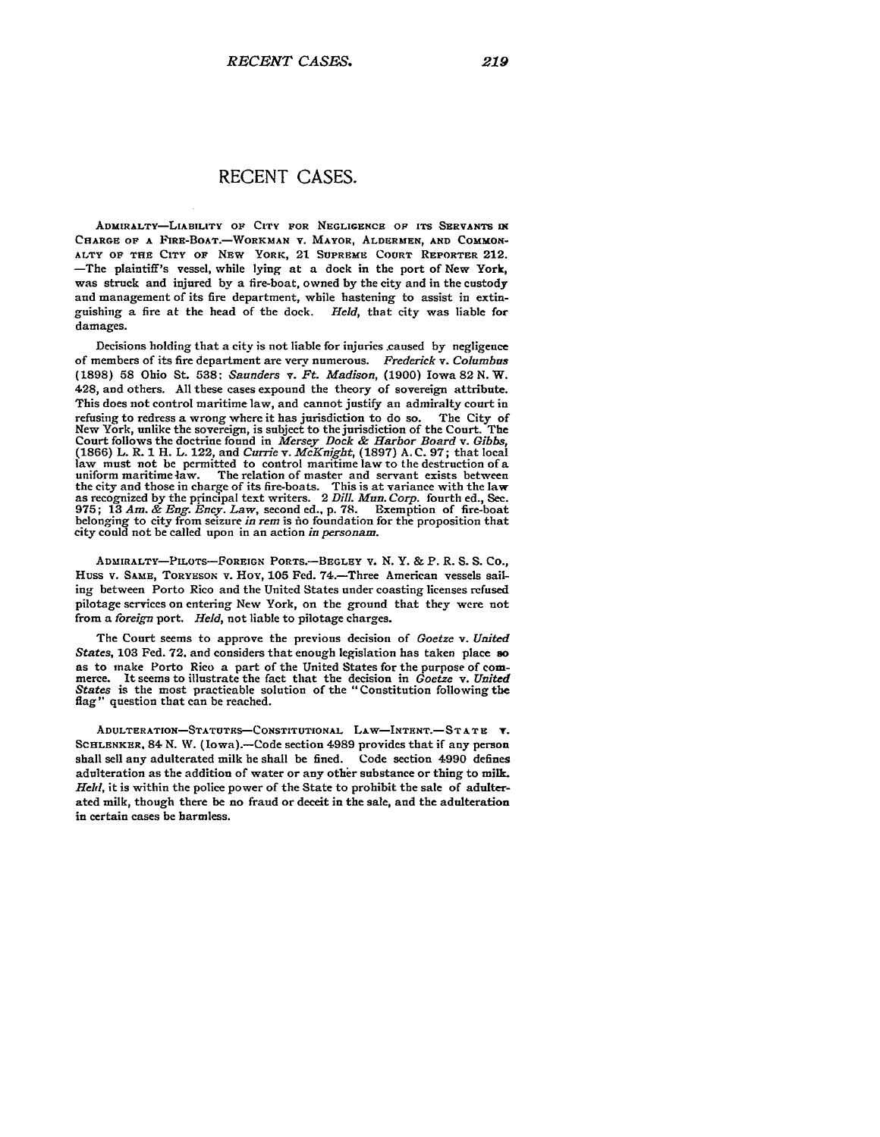## **RECENT CASES.**

ADMIRALTY-LIABILITY OF CITY FOR **NEGLIGENCE OF ITS SERVANTS IN** CHARGE OF A FIRE-BOAT.-WORKMAN V. MAYOR, ALDERMEN, AND COMMON-**ALTY OF THE** CITY **OF** NEW **YORK,** 21 **SUPREME COURT REPORTER 212.** -The plaintiff's vessel, while **lying** at a dock in the port of New York, was struck and injured by a fire-boat, owned **by** the city and in the custody and management of its fire department, while hastening to assist in extinguishing a fire at the head of the dock. *Held,* that city was liable for damages.

Decisions holding that a city is not liable for injuries .caused **by** negligence of members of its fire department are very numerous. *Frederick v. Columbus* **(1898) 58** Ohio St. **538:** *Saunders v. Ft. Madison,* **(1900)** Iowa 82 **N.** W. 428, and others. **All** these cases expound the theory of sovereign attribute. This does not control maritime law, and cannot justify an admiralty court in refusing to redress a wrong where it has jurisdiction to do so. The City of New York, unlike the sovereign, is subject to the jurisdiction of the Court. The Court follows the doctrine found in *Mersey Dock & Harbor Board v. Gibbs,* (1866) L. R. 1 H. L. 122, and *Currie v. McKnight,* (1897) **A.** C. 97; that local law must not be permitted to control maritime law to the destruction of a uniform maritime law. The relation of master and servant exists between the city and those in charge of its fire-boats. This is at variance with the law as recognized by the principal text writers. 2 *Dill. Mun. Corp.* fourth ed., See. 975; **13** *Am. & Eng. Ency. Law,* second ed., p. **78.** Exemption of fire-boat belonging to city from seizure *in rem* is fio foundation for the proposition that city could not be called upon in an action *in personam.*

**ADMIRALTY-PILOTS-FOREIGN PORTS.-BEGLEY** v. **N.** Y. & P. R. S. **S.** Co., Huss v. SAME, TORYESON v. HOY, 105 Fed. 74.-Three American vessels sailing between Porto Rico and the United States under coasting licenses refused pilotage services on entering New York, on the ground that they were not from a *foreign* port. *Held,* not liable to pilotage charges.

The Court seems to approve the previous decision of *Goetze v. United States,* **103** Fed. 72. and considers that enough legislation has taken place **so** as to make Porto Rico a part of the United States for the purpose of com- merce. it seems to illustrate the fact that the decision in *Goetze v. United States* is the most practicable solution of the "Constitution following the flag" question that can be reached.

**ADULTERATION-STATUTES-CONSTITUTIONAL LAW-INTENT.- STATE Y. SCHLENKER.** 84 **N.** W. **(Iowa).-Code** section 4989 provides that if any person shall sell any adulterated milk **he** shall be fined. Code section 4990 defines adulteration as the addition of water or any other substance or thing to milk. *Held,* it is within the police power of the State to prohibit the sale of adulterated milk, though there **be** no fraud or deceit in the sale, and the adulteration in certain cases be harmless.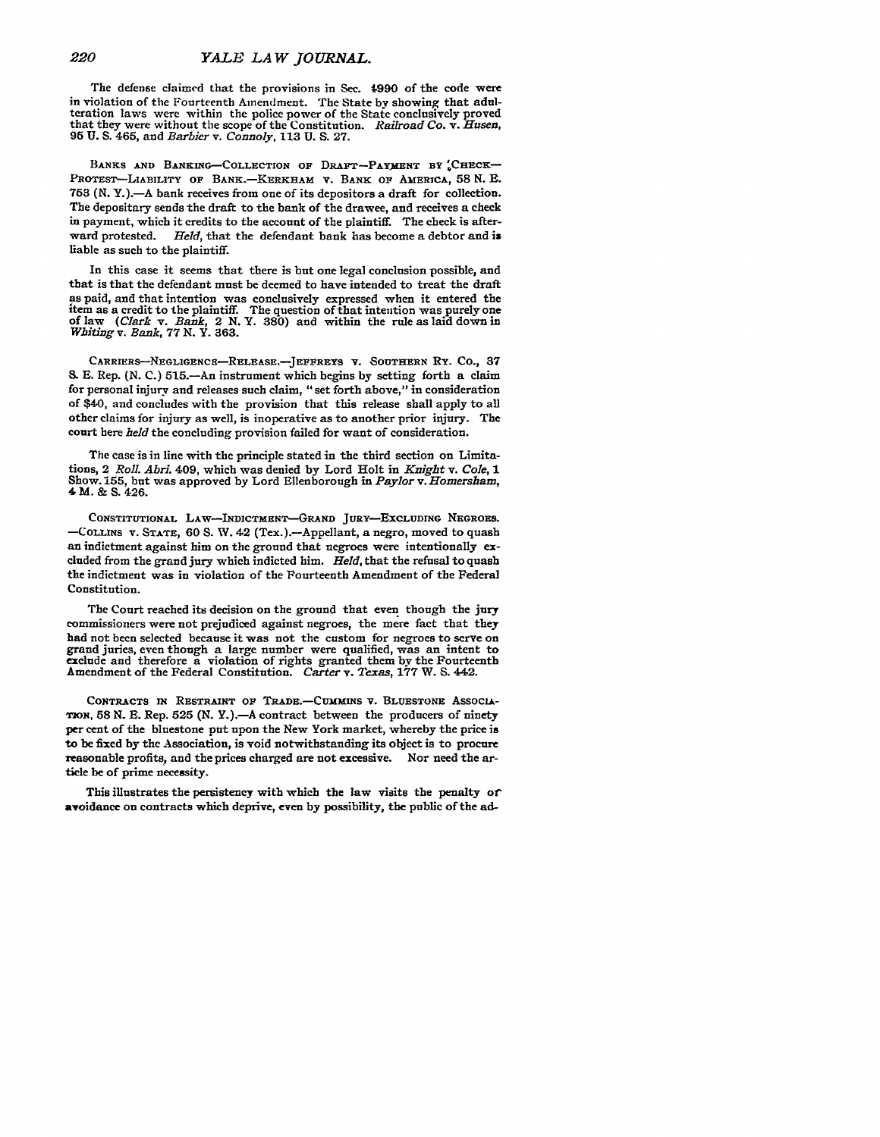The defense claimed that the provisions in Sec. 4990 of the code were in violation of the Fourteenth Amendment. The State by showing that adulteration laws were within the police power of the State conclusively proved that they were without the scope of the Constitution. *Railroad Co. v. Husen*, 95 **U.** S. 465, and *Barbier v. Connoly,* **113** U. **S.** 27.

BANKS AND BANKING-COLLECTION OF DRAFT-PAYMENT BY CHECK-PROTEST-LIABILITY **OF** BANK.-KERKHAM **V.** BANK **OF** AMERICA, **58 N. B. 753 (N.** Y.).-A bank receives from one of its depositors a draft for collection. The depositary sends the draft to the bank of the drawee, and receives a check in payment, which it credits to the account of the plaintiff. The check is afterward protested. *Held,* that the defendant bank has become a debtor and is liable as such to the plaintiff.

In this case it seems that there is but one legal conclusion possible, and that is that the defendant must be deemed to have intended to treat the draft as paid, and that intention was conclusively expressed when it entered the them as a credit to the plaintiff. The question of that intention was purely one<br>of law (Clark v. Bank, 2 N. Y. 380) and within the rule as laid down in<br>Whiting v. Bank, 77 N. Y. 363.

CARRIERS--NEGLIGENcs-RELEASE.-JEFFREYS **V. SOUTHERN Ry.** Co., **37 S. E.** Rep. (N. C.) 515.—An instrument which begins by setting forth a claim for personal injury and releases such claim, "set forth above," in consideration of \$40, and concludes with the provision that this release shall apply to all other claims for injury as well, is inoperative as to another prior injury. The court here *held* the concluding provision failed for want of consideration.

The case is in line with the principle stated in the third section on Limitations, 2 *Roll. Abri.* 409, which was denied by Lord Holt in *Knight v. Cole, 1* Show. **155,** but was approved by Lord Ellenborough in *Paylor v.Homersham,* 4M. & S. 426.

CONSTITUTIONAL LAW-INDICTMENT-GRAND JURy-EXCLUDNG NEGROES. **-COLLINS** V. **STATE,** 60 **S.** W. 42 (Tex.).-Appellant, a negro, moved to quash an indictment against him on the ground that negroes were intentionally excluded from the grand jury which indicted him. *Held,* that the refusal to quash the indictment was in violation of the Fourteenth Amendment of the Federal Constitution.

The Court reached its decision on the ground that even though the jury commissioners were not prejudiced against negroes, the mere fact that they grand juries, even though a large number were qualified, was an intent to exclude and therefore a violation of rights granted them by the Fourteenth Amendment of the Federal Constitution. *Carter* v. *Texas, 177* W. **S.** 442.

CONTRACTS **IN** RESTRAINT **OF TRADE.-CUMMINS** v. BLUESTONE AssocA-**TioN, 58 N. E.** Rep. **525 (N.** Y.).-A contract between the producers of ninety **per** cent of the bluestone put upon the New York market, whereby the price is to be fixed **by** the Association, is void notwithstanding its object is to procure reasonable profits, and the prices charged are not excessive. Nor need the article be of prime necessity.

This illustrates the persistency with which the law visits the penalty of avoidance on contracts which deprive, even **by** possibility, the public of the ad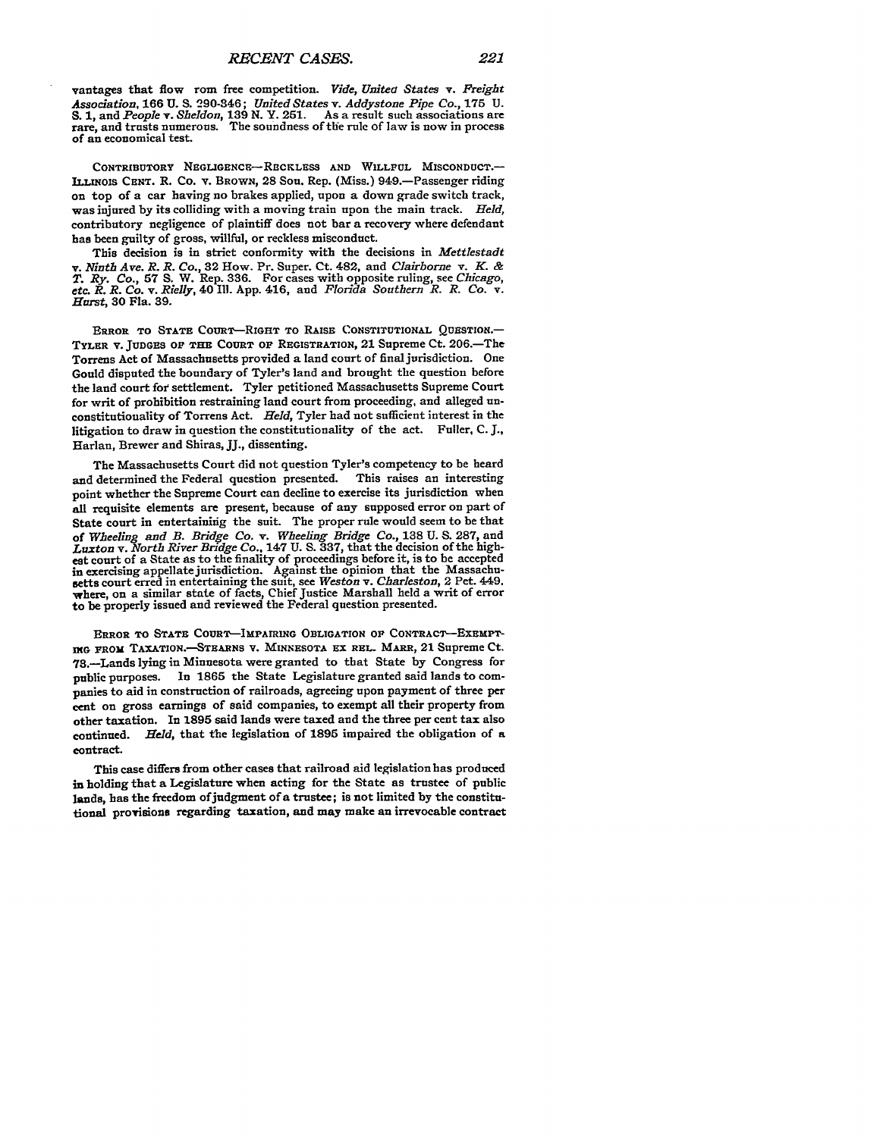vantages that flow rom free competition. *Vide, United States v. Freight Association,* **166 U. S.** 290-846; *United States v. Addystone Pipe Co.,* **175 U. S. 1,** and *People v. Sheldon,* **139 N.** Y. **251.** As a result such associations are rare, and trusts numerous. The soundness of the rule of law is now in process of an economical test.

CONTRIBUTORY NEGLIGENCE-RECKLESS **AND** WILLFUL **MISCONDUCT.- LLINOIS CENT.** R. Co. **v.** BROWN, **28** Son. Rep. (Miss.) 949.-Passenger riding on top of a car having no brakes applied, upon a down grade switch track, was injured **by** its colliding with a moving train upon the main track. *Held,* contributory negligence of plaintiff does not bar a recovery where defendant has been guilty of gross, willful, or reckless misconduct.

This decision is in strict conformity with the decisions in *Mettlestadt v. Ninth Ave. R. R. Co.,* **32** How. Pr. Super. Ct. 482, and *Clairhorne v. K. & T. Ry. Co.,* **57 S.** W. Rep. **336.** For cases with opposite ruling, see *Chicago, etc. R. R. Co. v. Rielly,* 40 **11. App.** 416, and *Florida Southern R. R. Co. v. Hmst,* **30** Fla. **39.**

**ERROR TO STATE** COURT-RIGHT **TO** RAISE **CONSTITUTIONAL QUESTION.- TYLER V. JUDGES OF THE COURT OF REGISTRATION,** 21 Supreme Ct. **206.-The** Torrens Act of Massachusetts provided a land court of final jurisdiction. One Gould disputed the boundary of Tyler's land and brought the question before the land court for settlement. Tyler petitioned Massachusetts Supreme Court for writ of prohibition restraining land court from proceeding, and alleged unconstitutionality of Torrens Act. *Held,* Tyler had not sufficient interest in the litigation to draw in question the constitutionality of the act. Fuller, **C. J.,** Harlan, Brewer and Shiras, **JJ.,** dissenting.

The Massachusetts Court did not question Tyler's competency to be heard and determined the Federal question presented. This raises an interesting point whether the Supreme Court can decline to exercise its jurisdiction when all requisite elements are present, because of any supposed error on part of State court in entertaining the suit. The proper rule would seem to be that of *Wheeling and B. Bridge Co. v. Wheeling Bridge Co.*, 138 U. S. 287, and *Luxton v. North River Bridge Co.*, 147 U. S. 337, that the decision of the highest court of a State as to the finality of proceedings before it, is to be accepted in exercising appellate jurisdiction. Against the opinion that the Massachu-setts court erred in entertaining the suit, see *Weston v. Charleston,* 2 Pet. 449. where, on a similar state of facts, Chief Justice Marshall held a writ of error to be properly issued and reviewed the Federal question presented.

**ERROR TO STATE COURT-IMPAIRING OBLIGATION 0F CONTRACT-EXEMPTnXG** PROM TAXATION.--STEARNS **V. MINNESOTA** EX **REL.** MARE, 21 Supreme **Ct.** 73.-Lands lying in Minnesota were granted to that State **by** Congress for public purposes. **In 1865** the State Legislature granted said lands to companies to aid in construction of railroads, agreeing upon payment of three per cent on gross earnings of said companies, to exempt all their property from other taxation. In **1895** said lands were taxed and the three per cent tax also continued. *Held,* that the legislation of **1895** impaired the obligation of a contract.

This case differs from other cases that railroad aid legislation has produced in holding that a Legislature when acting for the State as trustee of public lands, has the freedom ofjudgment of a trustee; is not limited **by** the constitutional provisions regarding taxation, and may make an irrevocable contract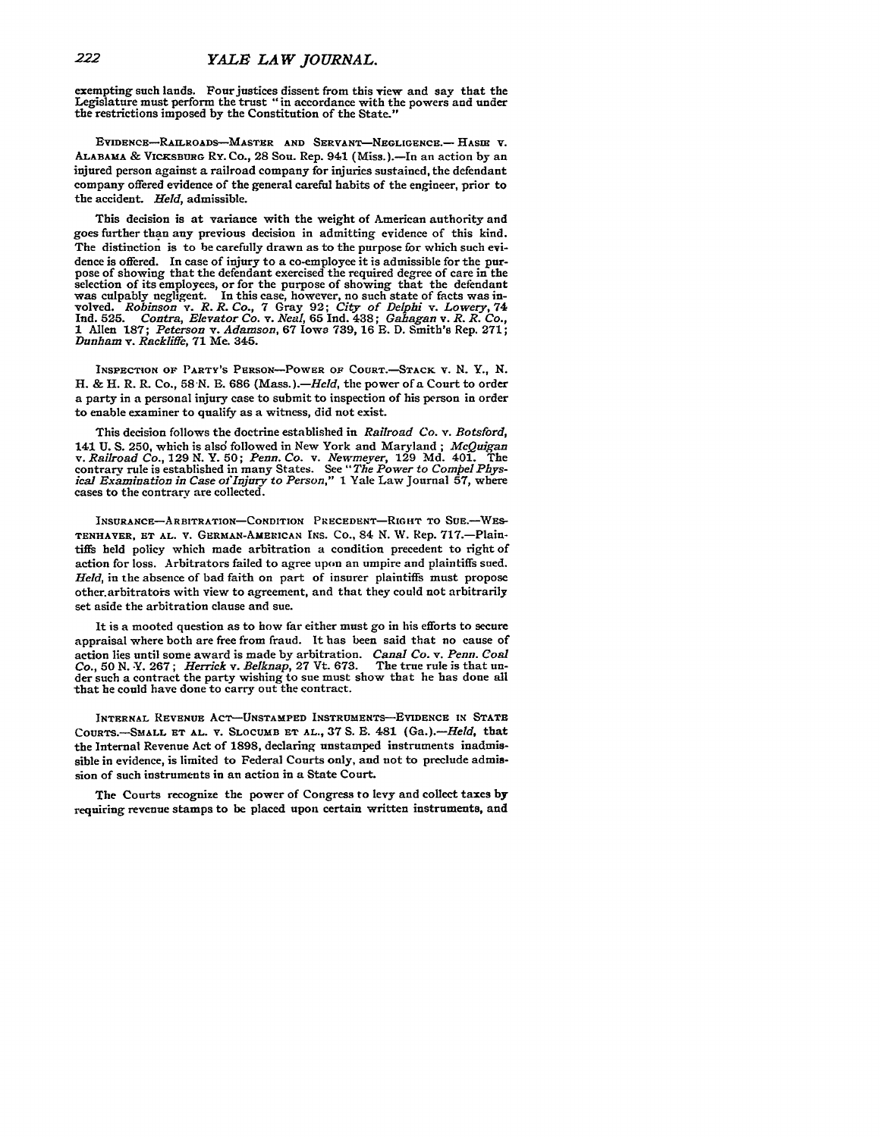## *YALE LA W JOURNAL.*

exempting such lands. Four justices dissent from this view and say that the Legislature must perform the trust "in accordance with the powers and under the restrictions imposed **by** the Constitution of the State."

EVIDENCE-RAILROADS--MASTER **AND SERVANT-NEGLIGENCE.- HASrE** V. ALABAMA **&** VICKSBURG Ry. Co., **28** Sou. Rep. 941 (Miss.).-In an action **by** an injured person against a railroad company for injuries sustained, the defendant company offered evidence of the general careful habits of the engineer, prior to the accident. *Held,* admissible.

This decision is at variance with the weight of American authority and goes further than any previous decision in admitting evidence of this kind. The distinction is to be carefully drawn as to the purpose for which such **evidence** is offered. In case of injury to a co-employee it is admissible for the purpose of showing that the defendant exercised the required degree of care in the selection of its employees, or for the purpose of showing that the defendant was culpably negligent. In this case, however, no such state of facts was inwas culpably negligent. In this case, however, no such state of facts was involved. Robinson v. R. R. Co., 7 Gray 92; City of Delphi v. Lowery, 74 Ind. 525. Contra, Elevator Co. v. Neal, 65 Ind. 438; Gahagan v. R. R. Co., **1** Allen **187;** *Peterson v. Adamson,* **67** Iowa **739, 16 E. D.** Smith's Rep. **271;** *Dunham v. Rackliffe,* **71** Me. 345.

**INSPECTION OF PARTY'S** PERSON-POWER **OF COURT.-STACK** v. **N.** Y., *N.* H. & H. R. R. Co., **58-N. B. 686** *(Mass.).-Held,* the power of a Court to order a party in a personal injury case to submit to inspection of his person in order to enable examiner to qualify as a witness, did not exist.

This decision follows the doctrine established in *Railroad Co. v. Botsford,* 141 **U. S. 250,** which is alsd followed in New York and Maryland; *MeQuigan* v. Railroad Co., 129 N. Y. 50; Penn. Co. v. Newmeyer, 129 Md. 401. The contrary rule is established in many States. See "The Power to Compel Physical Examination in Case of Injury to Person," 1 Yale Law Journal 57, where c

INSURANCE-ARBITRATION-CONDITION PRECEDENT-RIGHT TO SUE.-WES-TENHAVER, ET AL. V. GERMAN-AMERICAN INS. Co., 84 N. W. Rep. 717.-Plaintiffs held policy which made arbitration a condition precedent to right of action for loss. Arbitrators failed to agree upon an umpire and plaintiffs sued. *Held,* in the absence of bad faith on part of insurer plaintiffs must propose other arbitrators with view to agreement, and that they could not arbitrarily set aside the arbitration clause and sue.

It is a mooted question as to how far either must go in his efforts to secure appraisal where both are free from fraud. It has been said that no cause of action lies until some award is made **by** arbitration. *Canal Co. v. Penn. Coal* der such a contract the party wishing to sue must show that he has done all that **he** could have done to carry out the contract.

**INTERNAL** REVENUE **ACT-UNSTAMPED INSTRUMENTS-EVIDENCE IN STATE COURTS.-SMALL ET AL. V. SLOCUMB ET AL., 37 S. E.** 481 *(Ga.).-Held,* that the Internal Revenue Act of **1898,** declaring unstamped instruments inadmissible in evidence, is limited to Federal Courts only, and not to preclude admission of such instruments in an action in a State Court.

The Courts recognize the power of Congress to levy and **collect** taxes **by** requiring revenue stamps to be placed **upon** certain written instruments, and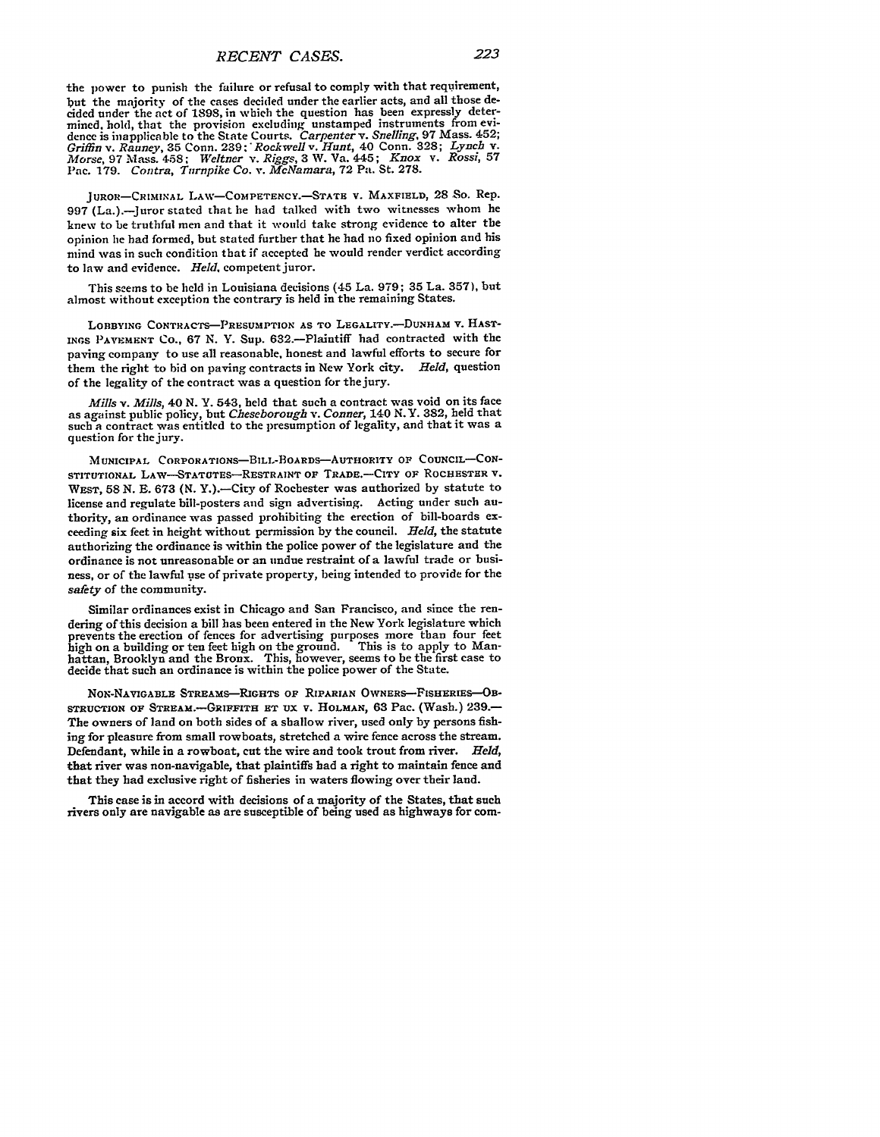the power to punish the failure or refusal to comply with that requirement, but the majority of the cases decided under the earlier acts, and all those decided under the act of 1898, in which the question has been expressly determined. hold, that the provision excluding unstamped instruments from evi-dence is inapplicable to the State Courts. *Carpenter v. Snelling,* 97 Mass. 452; *Griffin v. Rauney,* **35** Conn. 239: *Rockwell v. Hunt,* 40 Conn. 328; *Lynch v. Morse,* 97 Mass. 458; *Weltner v. Riggs,* 3 W. Va. 445; *Knox v. Rossi,* **57** Pac. **179.** *Contra, Turnpike Co. v. McNamara,* **72** Pa. St. **278.**

**JUROR-CRIMINAL LAW-COMPETENCY.**-STATE **V. MAXFIELD, 28 So. Rep.** 997 (La.).-Juror stated that **he** had talked with two witnesses whom **he** knew to be truthful men and that it would take strong evidence to alter the opinion lie had formed, but stated further that he had no fixed opinion and his mind was in such condition that if accepted he would render verdict according to law and evidence. Held, competent juror.

This seems to be held in Louisiana decisions (45 La. 979; 35 La. 357), but almost without exception the contrary is held in the remaining States.

LOBBYING CONTRAcTs-PREsuMPTION **AS** TO LEGALITY.-DUNHAM v. **HAST-**INGS **PAVEMENT** Co., 67 N. Y. Sup. 632.-Plaintiff had contracted with the paving company to use all reasonable, honest and lawful efforts to secure for them the right to bid on paving contracts in New York city. *Held,* question of the legality of the contract was a question for the jury.

*Mills v. Mills,* 40 N. **Y.** 543, held that such a contract was void on its face as against public policy, but *Cheseborough v. Conner, 140* N.Y. **382,** held that such a contract was entitled to the presumption of legality, and that it was a question for the jury.

MUNICIPAL CORPORATIONs-BILL-BOARDs-AuTHORITY **OF COUNCIL-CON-STITUTIONAL** LAW-STATUTEs-RESTRAINT **OF** TRADE.-CITY **OF** ROCHESTER V. WEST, **58 N. E. 673 (N.** Y.).-City of Rochester was authorized by statute to license and regulate bill-posters and sign advertising. Acting under such authority, an ordinance was passed prohibiting the erection of bill-boards exceeding six feet in height without permission by the council. *Held,* the statute authorizing the ordinance is within the police power of the legislature and the ordinance is not unreasonable or an undue restraint of a lawful trade or business, or of the lawful tise of private property, being intended to provide for the *safety* of the community.

Similar ordinances exist in Chicago and San Francisco, and since the rendering of this decision a bill has been entered in the New York legislature which prevents the erection of fences for advertising purposes more than four feet high on a building or ten feet high on the ground. This is to apply to Manhigh on a building or ten feet high on the ground. This is to apply to Manhattan, Brooklyn and the Bronx. This, however, seems to be the first case to decide that such an ordinance is within the police power of the State.

NoN-NAVIGABLE STREAMS-RIGHTS **OF** RIPARIAN **OWNERS-FISHERIES-OB-STRUCTION OF STREA.-GRIFFiTH ET UX V. HOLMAN, 63** Pac. (Wash.) **239.-** The owners of land on both sides of a shallow river, used only **by** persons fishing for pleasure from small rowboats, stretched a wire fence across the stream. Defendant, while in a rowboat, cut the wire and took trout from river. *Held,* that river was non-navigable, that plaintiffs **had** a right to maintain fence and that they had exclusive right of fisheries in waters flowing over their land.

This case is **in** accord with decisions of a majority of the States, that such rivers only are navigable as are susceptible of being used as highways for com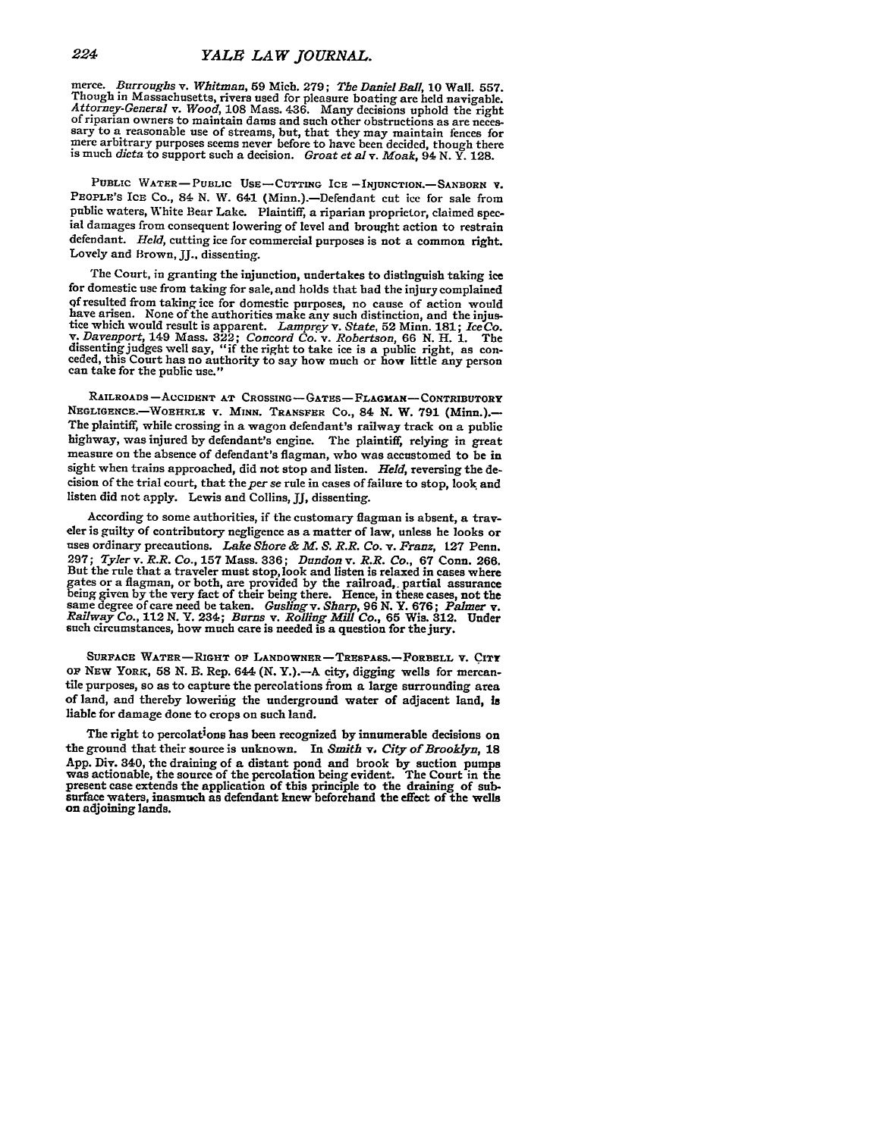merce. Burroughs v. Whitman, 59 Mich. 279; The Daniel Ball, 10 Wall. 557. Though in Massachusetts, rivers used for pleasure boating are held navigable. Attorney-General v. Wood, 108 Mass. 436. Many decisions uphold the rig is much *dicta* to support such a decision. *Groat et al* v. *Moak,* 94 **N.** Y. **128.**

PUBLIC WATER-PUBLIC USE-CUTTING ICE-INJUNCTION.-SANBORN V. PEOPLE'S ICE Co., 84 N. W. 641 (Minn.).-Defendant cut ice for sale from public waters, White Bear Lake. Plaintiff, a riparian proprietor, claimed special damages from consequent lowering of level and brought action to restrain defendant. *Held,* cutting ice for commercial purposes is not a common right. Lovely and Brown, **JJ..** dissenting.

**The** Court, in granting the injunction, undertakes to distinguish taking ice for domestic use from taking for sale, and holds that had the injury complained **qf** resulted from taking ice for domestic purposes, no cause of action would have arisen. None of the authorities make any such distinction, and the injustice which would result is apparent. *Lamprey v. State*, 52 Minn. 181; *Ice Co.*<br>The version of the same state and the injustice which would resu dissenting judges well say, "if the right to take ice is a public right, as con-<br>ceded, this Court has no authority to say how much or how little any person<br>can take for the public use."

RAILROADS -ACCIDENT **AT CROSSING- GATES- FLAGMAN-** CONTRIBUTORY **NEGLIGENCE.-WOEHRLE** v. MINN. TRANSFER Co., 84 **N.** W. **791** (Minn.).- The plaintiff, while crossing in a wagon defendant's railway track on a public highway, was injured **by** defendant's engine. The plaintiff, relying in great measure on the absence of defendant's flagman, who was accustomed to be in sight when trains approached, did not stop and listen. *Held,* reversing the decision of the trial court, that the per se rule in cases of failure to stop, look and listen did not apply. Lewis and Collins, II, dissenting.

According to some authorities, if the customary flagman is absent, a traveler is guilty of contributory negligence as a matter of law, unless he looks or uses ordinary precautions. *Lake Shore & M. S. R.R. Co. v. Franz,* **127** Penn. **297;** *Tyler v. R.R. Co.,* **157** Mass. **336;** *Dundon v. R.R. Co.,* **67** Conn. **266.** But the rule that a traveler must stop, look and listen is relaxed in cases where gates or a flagman, or both, are provided by the railroad, partial assurance<br>being given by the very fact of their being there. Hence, in these cases, not the<br>same degree of care need be taken. Gusling v. Sharp, 96 N. Y. 6 such circumstances, how much care is needed is a question for the jury.

**SURFACE WATER-RIGHT** OF **LANDOWNER-TRESPASS.-FORBELL v.** CITY **OF** NEW YORK, **58 N. B.** Rep. 644 **(N.** Y.).-A city, digging wells for mercan- tile purposes, so as to capture the percolations from a large surrounding area of land, and thereby lowering the underground water of adjacent land, is liable for damage done to crops on such land.

The right to percolations has been recognized **by** innumerable decisions on the ground that their source is unknown. In *Smith v, City of Brooklyn,* **<sup>18</sup>** App. Div. 340, the draining of a distant pond and brook by suction pumps<br>was actionable, the source of the percolation being evident. The Court in the<br>present case extends the application of this principle to the draining surface waters, inasmuch as defendant knew beforehand the effect of the wells on adjoining lands.